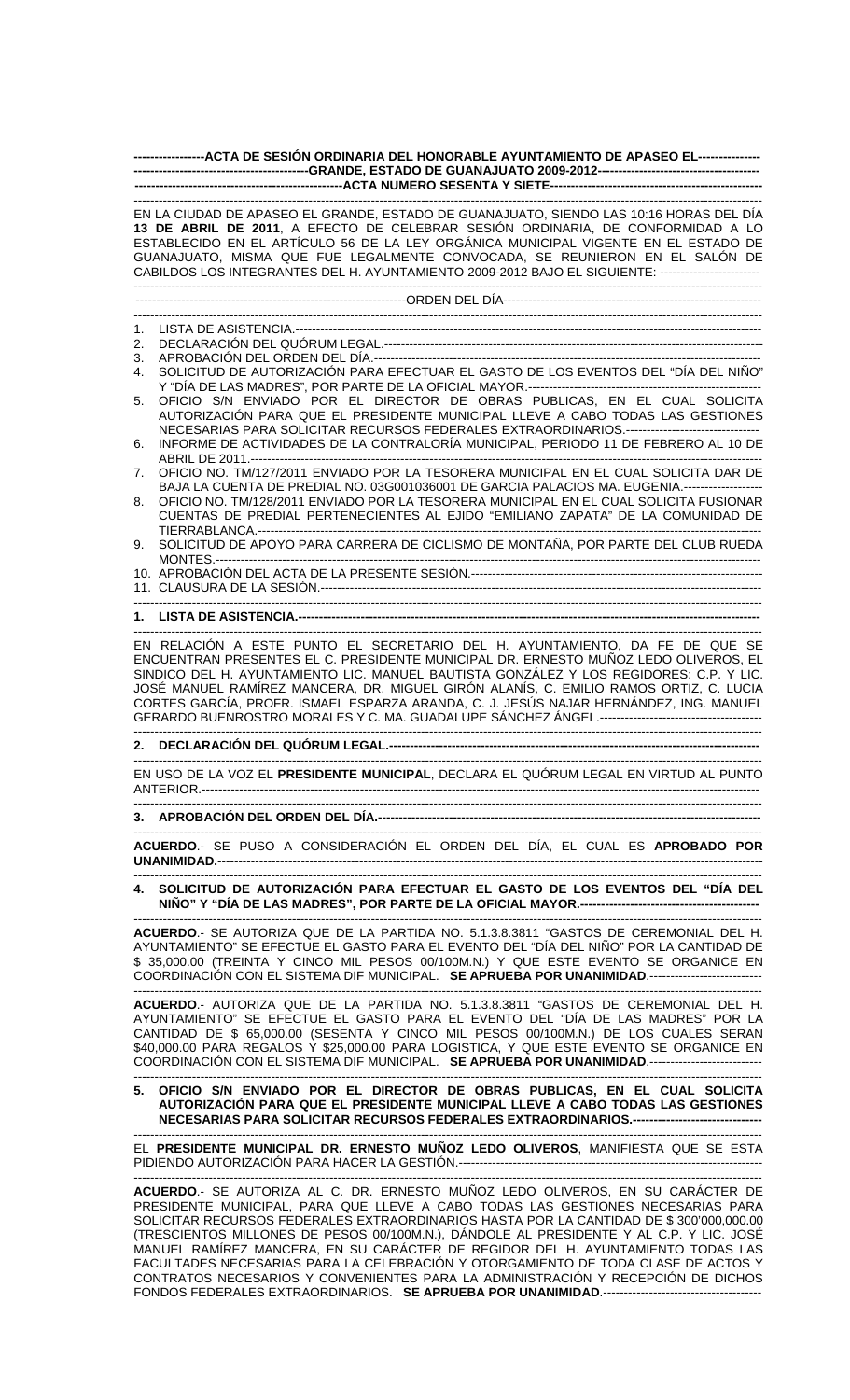| --------------ACTA DE SESIÓN ORDINARIA DEL HONORABLE AYUNTAMIENTO DE APASEO EL---------------                                                                                                                                                                                                                                                                                                                                                               |
|-------------------------------------------------------------------------------------------------------------------------------------------------------------------------------------------------------------------------------------------------------------------------------------------------------------------------------------------------------------------------------------------------------------------------------------------------------------|
|                                                                                                                                                                                                                                                                                                                                                                                                                                                             |
| EN LA CIUDAD DE APASEO EL GRANDE, ESTADO DE GUANAJUATO, SIENDO LAS 10:16 HORAS DEL DÍA<br>13 DE ABRIL DE 2011, A EFECTO DE CELEBRAR SESIÓN ORDINARIA, DE CONFORMIDAD A LO<br>ESTABLECIDO EN EL ARTÍCULO 56 DE LA LEY ORGÁNICA MUNICIPAL VIGENTE EN EL ESTADO DE<br>GUANAJUATO, MISMA QUE FUE LEGALMENTE CONVOCADA, SE REUNIERON EN EL SALÓN DE<br>CABILDOS LOS INTEGRANTES DEL H. AYUNTAMIENTO 2009-2012 BAJO EL SIGUIENTE: -------------------------       |
|                                                                                                                                                                                                                                                                                                                                                                                                                                                             |
| 1.                                                                                                                                                                                                                                                                                                                                                                                                                                                          |
| 2.                                                                                                                                                                                                                                                                                                                                                                                                                                                          |
| 3.<br>SOLICITUD DE AUTORIZACIÓN PARA EFECTUAR EL GASTO DE LOS EVENTOS DEL "DÍA DEL NIÑO"<br>4.                                                                                                                                                                                                                                                                                                                                                              |
| Y "DÍA DE LAS MADRES", POR PARTE DE LA OFICIAL MAYOR.----------------------------                                                                                                                                                                                                                                                                                                                                                                           |
| OFICIO S/N ENVIADO POR EL DIRECTOR DE OBRAS PUBLICAS, EN EL CUAL SOLICITA<br>5.                                                                                                                                                                                                                                                                                                                                                                             |
| AUTORIZACIÓN PARA QUE EL PRESIDENTE MUNICIPAL LLEVE A CABO TODAS LAS GESTIONES<br>NECESARIAS PARA SOLICITAR RECURSOS FEDERALES EXTRAORDINARIOS.--------------------------------                                                                                                                                                                                                                                                                             |
| INFORME DE ACTIVIDADES DE LA CONTRALORÍA MUNICIPAL, PERIODO 11 DE FEBRERO AL 10 DE<br>6.                                                                                                                                                                                                                                                                                                                                                                    |
| OFICIO NO. TM/127/2011 ENVIADO POR LA TESORERA MUNICIPAL EN EL CUAL SOLICITA DAR DE<br>7.                                                                                                                                                                                                                                                                                                                                                                   |
| BAJA LA CUENTA DE PREDIAL NO. 03G001036001 DE GARCIA PALACIOS MA. EUGENIA.-------------------                                                                                                                                                                                                                                                                                                                                                               |
| OFICIO NO. TM/128/2011 ENVIADO POR LA TESORERA MUNICIPAL EN EL CUAL SOLICITA FUSIONAR<br>8.                                                                                                                                                                                                                                                                                                                                                                 |
| CUENTAS DE PREDIAL PERTENECIENTES AL EJIDO "EMILIANO ZAPATA" DE LA COMUNIDAD DE                                                                                                                                                                                                                                                                                                                                                                             |
| SOLICITUD DE APOYO PARA CARRERA DE CICLISMO DE MONTAÑA, POR PARTE DEL CLUB RUEDA<br>9.                                                                                                                                                                                                                                                                                                                                                                      |
|                                                                                                                                                                                                                                                                                                                                                                                                                                                             |
|                                                                                                                                                                                                                                                                                                                                                                                                                                                             |
| 1. LISTA DE ASISTENCIA.-----------------------                                                                                                                                                                                                                                                                                                                                                                                                              |
| EN RELACIÓN A ESTE PUNTO EL SECRETARIO DEL H. AYUNTAMIENTO, DA FE DE QUE SE<br>ENCUENTRAN PRESENTES EL C. PRESIDENTE MUNICIPAL DR. ERNESTO MUÑOZ LEDO OLIVEROS, EL<br>SINDICO DEL H. AYUNTAMIENTO LIC. MANUEL BAUTISTA GONZÁLEZ Y LOS REGIDORES: C.P. Y LIC.<br>JOSÉ MANUEL RAMÍREZ MANCERA, DR. MIGUEL GIRÓN ALANÍS, C. EMILIO RAMOS ORTIZ, C. LUCIA<br>CORTES GARCÍA, PROFR. ISMAEL ESPARZA ARANDA, C. J. JESÚS NAJAR HERNÁNDEZ, ING. MANUEL              |
|                                                                                                                                                                                                                                                                                                                                                                                                                                                             |
| EN USO DE LA VOZ EL PRESIDENTE MUNICIPAL, DECLARA EL QUÓRUM LEGAL EN VIRTUD AL PUNTO                                                                                                                                                                                                                                                                                                                                                                        |
|                                                                                                                                                                                                                                                                                                                                                                                                                                                             |
| ACUERDO.- SE PUSO A CONSIDERACIÓN EL ORDEN DEL DÍA, EL CUAL ES APROBADO POR                                                                                                                                                                                                                                                                                                                                                                                 |
|                                                                                                                                                                                                                                                                                                                                                                                                                                                             |
| 4. SOLICITUD DE AUTORIZACIÓN PARA EFECTUAR EL GASTO DE LOS EVENTOS DEL "DÍA DEL                                                                                                                                                                                                                                                                                                                                                                             |
| ACUERDO.- SE AUTORIZA QUE DE LA PARTIDA NO. 5.1.3.8.3811 "GASTOS DE CEREMONIAL DEL H.<br>AYUNTAMIENTO" SE EFECTUE EL GASTO PARA EL EVENTO DEL "DÍA DEL NIÑO" POR LA CANTIDAD DE<br>\$ 35,000.00 (TREINTA Y CINCO MIL PESOS 00/100M.N.) Y QUE ESTE EVENTO SE ORGANICE EN<br>COORDINACIÓN CON EL SISTEMA DIF MUNICIPAL. SE APRUEBA POR UNANIMIDAD                                                                                                             |
| ACUERDO.- AUTORIZA QUE DE LA PARTIDA NO. 5.1.3.8.3811 "GASTOS DE CEREMONIAL DEL H.<br>AYUNTAMIENTO" SE EFECTUE EL GASTO PARA EL EVENTO DEL "DÍA DE LAS MADRES" POR LA<br>CANTIDAD DE \$ 65,000.00 (SESENTA Y CINCO MIL PESOS 00/100M.N.) DE LOS CUALES SERAN<br>\$40,000.00 PARA REGALOS Y \$25,000.00 PARA LOGISTICA, Y QUE ESTE EVENTO SE ORGANICE EN<br>COORDINACIÓN CON EL SISTEMA DIF MUNICIPAL. SE APRUEBA POR UNANIMIDAD.--------------------------- |
| 5. OFICIO S/N ENVIADO POR EL DIRECTOR DE OBRAS PUBLICAS, EN EL CUAL SOLICITA<br>AUTORIZACIÓN PARA QUE EL PRESIDENTE MUNICIPAL LLEVE A CABO TODAS LAS GESTIONES<br>NECESARIAS PARA SOLICITAR RECURSOS FEDERALES EXTRAORDINARIOS.-------------------------------                                                                                                                                                                                              |
| EL PRESIDENTE MUNICIPAL DR. ERNESTO MUÑOZ LEDO OLIVEROS, MANIFIESTA QUE SE ESTA                                                                                                                                                                                                                                                                                                                                                                             |

------------------------------------------------------------------------------------------------------------------------------------------------------- **ACUERDO**.- SE AUTORIZA AL C. DR. ERNESTO MUÑOZ LEDO OLIVEROS, EN SU CARÁCTER DE PRESIDENTE MUNICIPAL, PARA QUE LLEVE A CABO TODAS LAS GESTIONES NECESARIAS PARA SOLICITAR RECURSOS FEDERALES EXTRAORDINARIOS HASTA POR LA CANTIDAD DE \$ 300'000,000.00 (TRESCIENTOS MILLONES DE PESOS 00/100M.N.), DÁNDOLE AL PRESIDENTE Y AL C.P. Y LIC. JOSÉ MANUEL RAMÍREZ MANCERA, EN SU CARÁCTER DE REGIDOR DEL H. AYUNTAMIENTO TODAS LAS FACULTADES NECESARIAS PARA LA CELEBRACIÓN Y OTORGAMIENTO DE TODA CLASE DE ACTOS Y CONTRATOS NECESARIOS Y CONVENIENTES PARA LA ADMINISTRACIÓN Y RECEPCIÓN DE DICHOS FONDOS FEDERALES EXTRAORDINARIOS. SE APRUEBA POR UNANIMIDAD.---